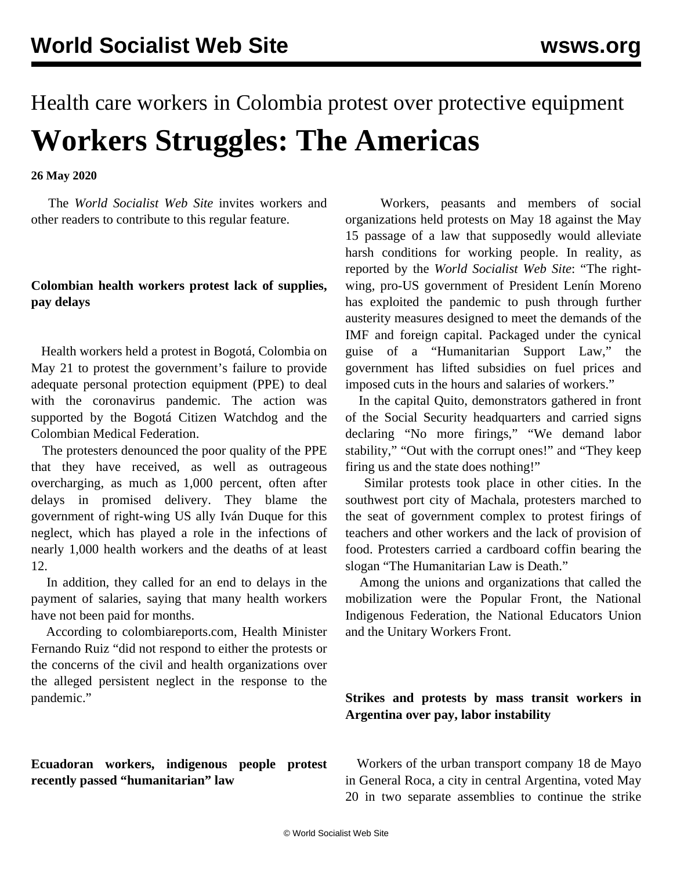# Health care workers in Colombia protest over protective equipment **Workers Struggles: The Americas**

**26 May 2020**

 The *World Socialist Web Site* invites workers and other readers to [contribute](/en/special/contact.html) to this regular feature.

### **Colombian health workers protest lack of supplies, pay delays**

 Health workers held a protest in Bogotá, Colombia on May 21 to protest the government's failure to provide adequate personal protection equipment (PPE) to deal with the coronavirus pandemic. The action was supported by the Bogotá Citizen Watchdog and the Colombian Medical Federation.

 The protesters denounced the poor quality of the PPE that they have received, as well as outrageous overcharging, as much as 1,000 percent, often after delays in promised delivery. They blame the government of right-wing US ally Iván Duque for this neglect, which has played a role in the infections of nearly 1,000 health workers and the deaths of at least 12.

 In addition, they called for an end to delays in the payment of salaries, saying that many health workers have not been paid for months.

 According to colombiareports.com, Health Minister Fernando Ruiz "did not respond to either the protests or the concerns of the civil and health organizations over the alleged persistent neglect in the response to the pandemic."

## **Ecuadoran workers, indigenous people protest recently passed "humanitarian" law**

 Workers, peasants and members of social organizations held protests on May 18 against the May 15 passage of a law that supposedly would alleviate harsh conditions for working people. In reality, as reported by the *World Socialist Web Site*: "The rightwing, pro-US government of President Lenín Moreno has exploited the pandemic to push through further austerity measures designed to meet the demands of the IMF and foreign capital. Packaged under the cynical guise of a "Humanitarian Support Law," the government has lifted subsidies on fuel prices and imposed cuts in the hours and salaries of workers."

 In the capital Quito, demonstrators gathered in front of the Social Security headquarters and carried signs declaring "No more firings," "We demand labor stability," "Out with the corrupt ones!" and "They keep firing us and the state does nothing!"

 Similar protests took place in other cities. In the southwest port city of Machala, protesters marched to the seat of government complex to protest firings of teachers and other workers and the lack of provision of food. Protesters carried a cardboard coffin bearing the slogan "The Humanitarian Law is Death."

 Among the unions and organizations that called the mobilization were the Popular Front, the National Indigenous Federation, the National Educators Union and the Unitary Workers Front.

## **Strikes and protests by mass transit workers in Argentina over pay, labor instability**

 Workers of the urban transport company 18 de Mayo in General Roca, a city in central Argentina, voted May 20 in two separate assemblies to continue the strike